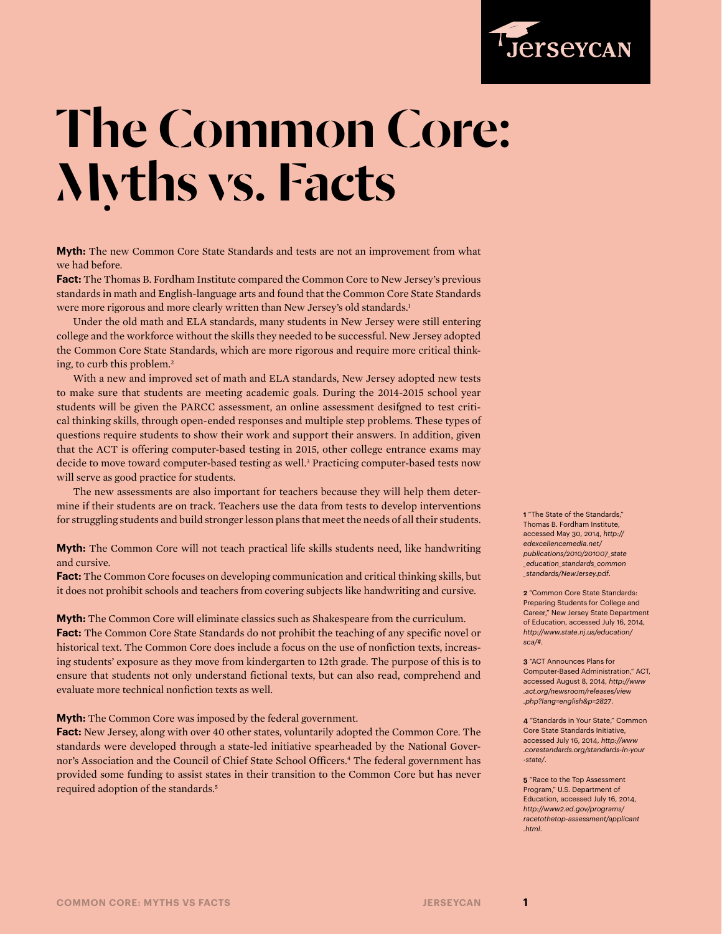

## The Common Core: Myths vs. Facts

**Myth:** The new Common Core State Standards and tests are not an improvement from what we had before.

**Fact:** The Thomas B. Fordham Institute compared the Common Core to New Jersey's previous standards in math and English-language arts and found that the Common Core State Standards were more rigorous and more clearly written than New Jersey's old standards.<sup>1</sup>

Under the old math and ELA standards, many students in New Jersey were still entering college and the workforce without the skills they needed to be successful. New Jersey adopted the Common Core State Standards, which are more rigorous and require more critical thinking, to curb this problem.<sup>2</sup>

With a new and improved set of math and ELA standards, New Jersey adopted new tests to make sure that students are meeting academic goals. During the 2014-2015 school year students will be given the PARCC assessment, an online assessment desifgned to test critical thinking skills, through open-ended responses and multiple step problems. These types of questions require students to show their work and support their answers. In addition, given that the ACT is offering computer-based testing in 2015, other college entrance exams may decide to move toward computer-based testing as well.3 Practicing computer-based tests now will serve as good practice for students.

The new assessments are also important for teachers because they will help them determine if their students are on track. Teachers use the data from tests to develop interventions for struggling students and build stronger lesson plans that meet the needs of all their students.

**Myth:** The Common Core will not teach practical life skills students need, like handwriting and cursive.

**Fact:** The Common Core focuses on developing communication and critical thinking skills, but it does not prohibit schools and teachers from covering subjects like handwriting and cursive.

**Myth:** The Common Core will eliminate classics such as Shakespeare from the curriculum. Fact: The Common Core State Standards do not prohibit the teaching of any specific novel or historical text. The Common Core does include a focus on the use of nonfiction texts, increasing students' exposure as they move from kindergarten to 12th grade. The purpose of this is to ensure that students not only understand fictional texts, but can also read, comprehend and evaluate more technical nonfiction texts as well.

**Myth:** The Common Core was imposed by the federal government.

**Fact:** New Jersey, along with over 40 other states, voluntarily adopted the Common Core. The standards were developed through a state-led initiative spearheaded by the National Governor's Association and the Council of Chief State School Officers.4 The federal government has provided some funding to assist states in their transition to the Common Core but has never required adoption of the standards.5

**1** "The State of the Standards," Thomas B. Fordham Institute, accessed May 30, 2014, *[http://](http://edexcellencemedia.net/publications/2010/201007_state_education_standards_common_standards/NewJersey.pdf) [edexcellencemedia.net/](http://edexcellencemedia.net/publications/2010/201007_state_education_standards_common_standards/NewJersey.pdf) [publications/2010/201007\\_state](http://edexcellencemedia.net/publications/2010/201007_state_education_standards_common_standards/NewJersey.pdf) [\\_education\\_standards\\_common](http://edexcellencemedia.net/publications/2010/201007_state_education_standards_common_standards/NewJersey.pdf) [\\_standards/NewJersey.pdf](http://edexcellencemedia.net/publications/2010/201007_state_education_standards_common_standards/NewJersey.pdf)*.

**2** "Common Core State Standards: Preparing Students for College and Career," New Jersey State Department of Education, accessed July 16, 2014, *[http://www.state.nj.us/education/](http://www.state.nj.us/education/sca/) [sca/#](http://www.state.nj.us/education/sca/)*.

**3** "ACT Announces Plans for Computer-Based Administration," ACT, accessed August 8, 2014, *[http://www](http://www.act.org/newsroom/releases/view.php?lang=english&p=2827) [.act.org/newsroom/releases/view](http://www.act.org/newsroom/releases/view.php?lang=english&p=2827) [.php?lang=english&p=2827](http://www.act.org/newsroom/releases/view.php?lang=english&p=2827)*.

**4** "Standards in Your State," Common Core State Standards Initiative, accessed July 16, 2014, *[http://www](http://www.corestandards.org/standards-in-your-state/) [.corestandards.org/standards-in-your](http://www.corestandards.org/standards-in-your-state/) [-state/](http://www.corestandards.org/standards-in-your-state/)*.

**5** "Race to the Top Assessment Program," U.S. Department of Education, accessed July 16, 2014, *[http://www2.ed.gov/programs/](http://www2.ed.gov/programs/racetothetop-assessment/applicant.html) [racetothetop-assessment/applicant](http://www2.ed.gov/programs/racetothetop-assessment/applicant.html) [.html](http://www2.ed.gov/programs/racetothetop-assessment/applicant.html)*.